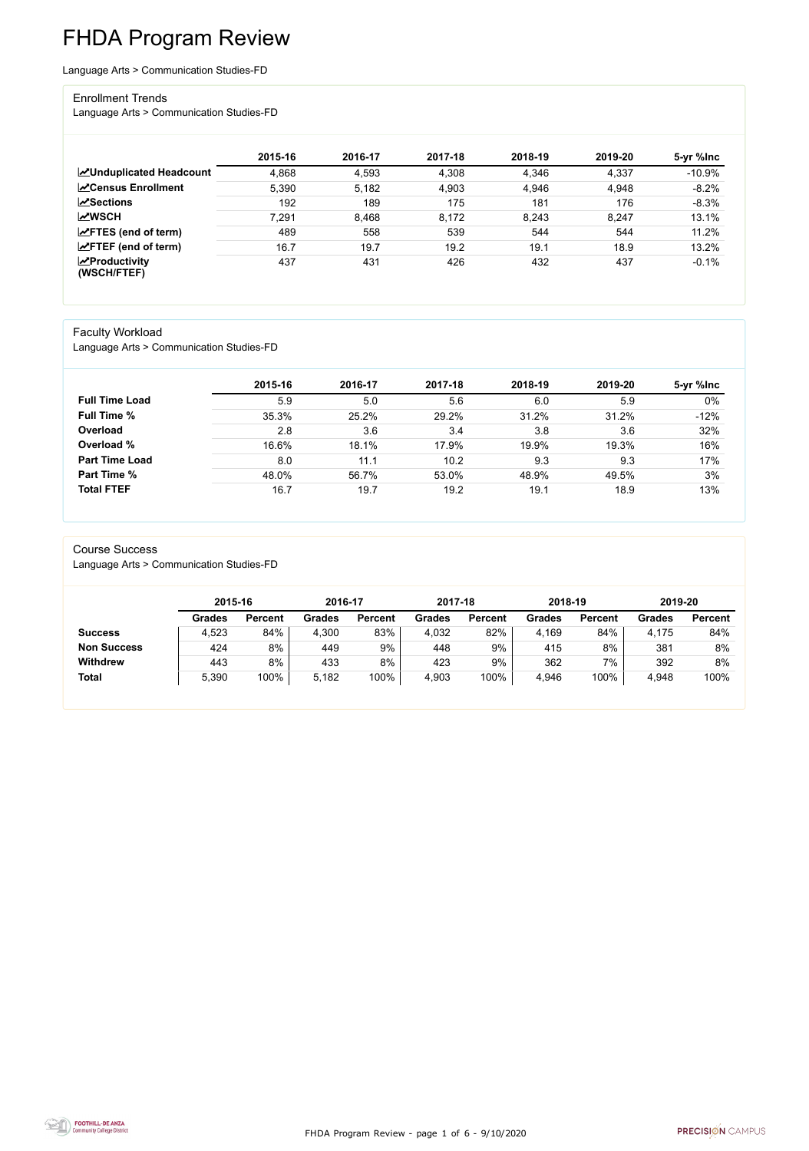FHDA Program Review - page 1 of 6 - 9/10/2020



# FHDA Program Review

Language Arts > Communication Studies-FD

#### Enrollment Trends

Language Arts > Communication Studies-FD

|                                                  | 2015-16 | 2016-17 | 2017-18 | 2018-19 | 2019-20 | 5-yr %lnc |
|--------------------------------------------------|---------|---------|---------|---------|---------|-----------|
| <b>ZUnduplicated Headcount</b>                   | 4,868   | 4,593   | 4,308   | 4,346   | 4,337   | $-10.9%$  |
| <b>∠</b> Census Enrollment                       | 5,390   | 5.182   | 4,903   | 4,946   | 4,948   | $-8.2%$   |
| <b>ZSections</b>                                 | 192     | 189     | 175     | 181     | 176     | $-8.3%$   |
| <b>MWSCH</b>                                     | 7,291   | 8,468   | 8,172   | 8,243   | 8,247   | 13.1%     |
| $\angle$ FTES (end of term)                      | 489     | 558     | 539     | 544     | 544     | 11.2%     |
| $\angle$ FTEF (end of term)                      | 16.7    | 19.7    | 19.2    | 19.1    | 18.9    | 13.2%     |
| $\sqrt{\frac{1}{2}}$ Productivity<br>(WSCH/FTEF) | 437     | 431     | 426     | 432     | 437     | $-0.1%$   |

#### Faculty Workload

Language Arts > Communication Studies-FD

|                       | 2015-16 | 2016-17 | 2017-18 | 2018-19 | 2019-20 | 5-yr %lnc |
|-----------------------|---------|---------|---------|---------|---------|-----------|
| <b>Full Time Load</b> | 5.9     | 5.0     | 5.6     | 6.0     | 5.9     | $0\%$     |
| <b>Full Time %</b>    | 35.3%   | 25.2%   | 29.2%   | 31.2%   | 31.2%   | $-12%$    |
| Overload              | 2.8     | 3.6     | 3.4     | 3.8     | 3.6     | 32%       |
| Overload %            | 16.6%   | 18.1%   | 17.9%   | 19.9%   | 19.3%   | 16%       |
| <b>Part Time Load</b> | 8.0     | 11.1    | 10.2    | 9.3     | 9.3     | 17%       |
| <b>Part Time %</b>    | 48.0%   | 56.7%   | 53.0%   | 48.9%   | 49.5%   | 3%        |
| <b>Total FTEF</b>     | 16.7    | 19.7    | 19.2    | 19.1    | 18.9    | 13%       |

#### Course Success

Language Arts > Communication Studies-FD

|                    | 2015-16       |                | 2016-17       |                | 2017-18       |                | 2018-19       |                | 2019-20 |                |
|--------------------|---------------|----------------|---------------|----------------|---------------|----------------|---------------|----------------|---------|----------------|
|                    | <b>Grades</b> | <b>Percent</b> | <b>Grades</b> | <b>Percent</b> | <b>Grades</b> | <b>Percent</b> | <b>Grades</b> | <b>Percent</b> | Grades  | <b>Percent</b> |
| <b>Success</b>     | 4,523         | 84%            | 4,300         | 83%            | 4,032         | 82%            | 4,169         | 84%            | 4,175   | 84%            |
| <b>Non Success</b> | 424           | 8%             | 449           | 9%             | 448           | 9%             | 415           | 8%             | 381     | 8%             |
| <b>Withdrew</b>    | 443           | 8%             | 433           | 8%             | 423           | 9%             | 362           | 7%             | 392     | 8%             |
| <b>Total</b>       | 5,390         | 100%           | 5,182         | 100%           | 4,903         | 100%           | 4,946         | 100%           | 4,948   | 100%           |

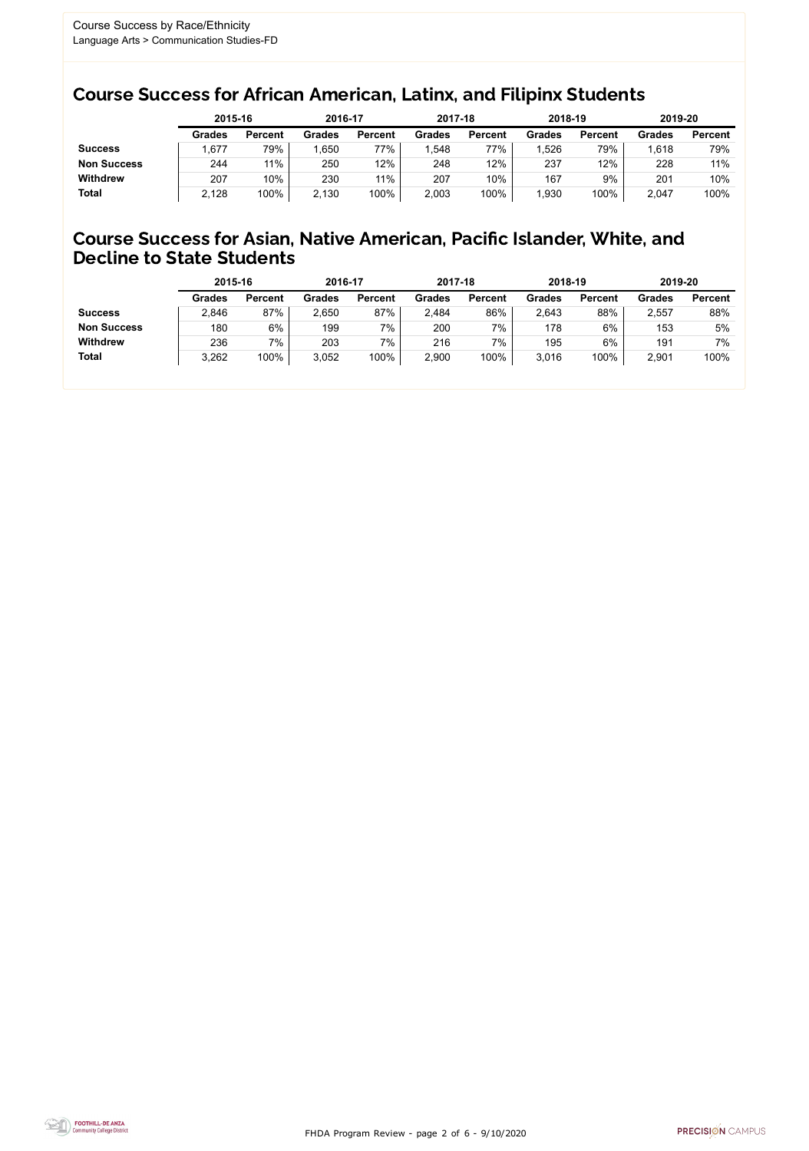FHDA Program Review - page 2 of 6 - 9/10/2020



### Course Success for African American, Latinx, and Filipinx Students

### Course Success for Asian, Native American, Pacific Islander, White, and Decline to State Students

|                    | 2015-16       |                | 2016-17       |                | 2017-18       |                | 2018-19       |                | 2019-20       |                |
|--------------------|---------------|----------------|---------------|----------------|---------------|----------------|---------------|----------------|---------------|----------------|
|                    | <b>Grades</b> | <b>Percent</b> | <b>Grades</b> | <b>Percent</b> | <b>Grades</b> | <b>Percent</b> | <b>Grades</b> | <b>Percent</b> | <b>Grades</b> | <b>Percent</b> |
| <b>Success</b>     | ,677          | 79%            | ,650          | 77%            | 1,548         | 77%            | .526          | 79%            | 1,618         | 79%            |
| <b>Non Success</b> | 244           | 11%            | 250           | 12%            | 248           | 12%            | 237           | 12%            | 228           | 11%            |
| <b>Withdrew</b>    | 207           | 10%            | 230           | 11%            | 207           | 10%            | 167           | 9%             | 201           | 10%            |
| <b>Total</b>       | 2,128         | 100%           | 2,130         | 100%           | 2,003         | 100%           | ,930          | 100%           | 2,047         | 100%           |

|                    | 2015-16       |                | 2016-17       |                | 2017-18       |                | 2018-19       |                | 2019-20       |                |
|--------------------|---------------|----------------|---------------|----------------|---------------|----------------|---------------|----------------|---------------|----------------|
|                    | <b>Grades</b> | <b>Percent</b> | <b>Grades</b> | <b>Percent</b> | <b>Grades</b> | <b>Percent</b> | <b>Grades</b> | <b>Percent</b> | <b>Grades</b> | <b>Percent</b> |
| <b>Success</b>     | 2,846         | 87%            | 2,650         | 87%            | 2,484         | 86%            | 2,643         | 88%            | 2,557         | 88%            |
| <b>Non Success</b> | 180           | 6%             | 199           | 7%             | 200           | 7%             | 178           | 6%             | 153           | 5%             |
| <b>Withdrew</b>    | 236           | 7%             | 203           | 7%             | 216           | 7%             | 195           | 6%             | 191           | 7%             |
| <b>Total</b>       | 3,262         | 100%           | 3,052         | 100%           | 2,900         | 100%           | 3,016         | 100%           | 2,901         | 100%           |
|                    |               |                |               |                |               |                |               |                |               |                |

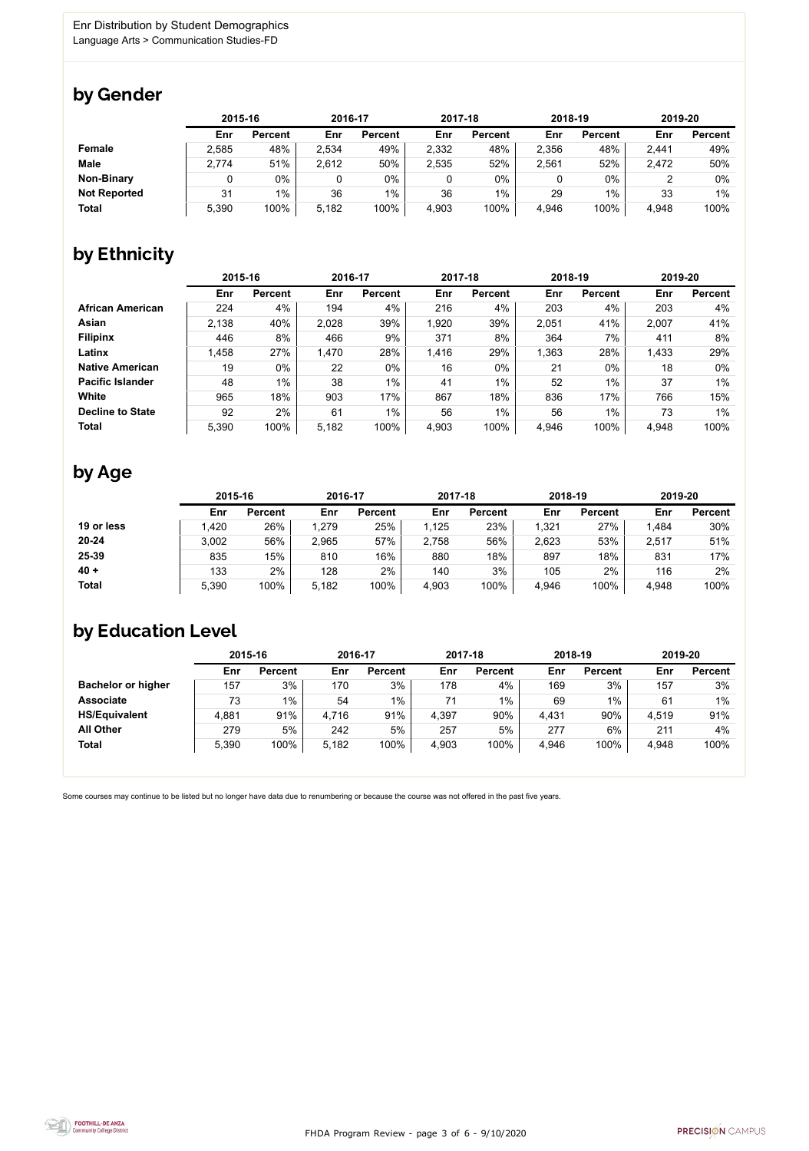FHDA Program Review - page 3 of 6 - 9/10/2020



Some courses may continue to be listed but no longer have data due to renumbering or because the course was not offered in the past five years.



### by Gender

|                     | 2015-16 |                |       | 2016-17        |       | 2017-18        |       | 2018-19        |       | 2019-20        |  |
|---------------------|---------|----------------|-------|----------------|-------|----------------|-------|----------------|-------|----------------|--|
|                     | Enr     | <b>Percent</b> | Enr   | <b>Percent</b> | Enr   | <b>Percent</b> | Enr   | <b>Percent</b> | Enr   | <b>Percent</b> |  |
| <b>Female</b>       | 2,585   | 48%            | 2,534 | 49%            | 2,332 | 48%            | 2,356 | 48%            | 2,441 | 49%            |  |
| <b>Male</b>         | 2,774   | 51%            | 2,612 | 50%            | 2,535 | 52%            | 2,561 | 52%            | 2,472 | 50%            |  |
| <b>Non-Binary</b>   |         | 0%             |       | $0\%$          |       | $0\%$          |       | $0\%$          |       | 0%             |  |
| <b>Not Reported</b> | 31      | $1\%$          | 36    | $1\%$          | 36    | $1\%$          | 29    | 1%             | 33    | 1%             |  |
| <b>Total</b>        | 5,390   | 100%           | 5,182 | 100%           | 4,903 | 100%           | 4,946 | 100%           | 4,948 | 100%           |  |

## by Ethnicity

|                         | 2015-16 |                |       | 2016-17        |       | 2017-18        | 2018-19 |                | 2019-20 |                |
|-------------------------|---------|----------------|-------|----------------|-------|----------------|---------|----------------|---------|----------------|
|                         | Enr     | <b>Percent</b> | Enr   | <b>Percent</b> | Enr   | <b>Percent</b> | Enr     | <b>Percent</b> | Enr     | <b>Percent</b> |
| <b>African American</b> | 224     | 4%             | 194   | 4%             | 216   | 4%             | 203     | 4%             | 203     | 4%             |
| <b>Asian</b>            | 2,138   | 40%            | 2,028 | 39%            | 1,920 | 39%            | 2,051   | 41%            | 2,007   | 41%            |
| <b>Filipinx</b>         | 446     | 8%             | 466   | 9%             | 371   | 8%             | 364     | 7%             | 411     | 8%             |
| Latinx                  | 1,458   | 27%            | 1,470 | 28%            | 1,416 | 29%            | 1,363   | 28%            | 1,433   | 29%            |
| <b>Native American</b>  | 19      | $0\%$          | 22    | $0\%$          | 16    | $0\%$          | 21      | $0\%$          | 18      | $0\%$          |
| <b>Pacific Islander</b> | 48      | 1%             | 38    | $1\%$          | 41    | $1\%$          | 52      | $1\%$          | 37      | $1\%$          |
| White                   | 965     | 18%            | 903   | 17%            | 867   | 18%            | 836     | 17%            | 766     | 15%            |
| <b>Decline to State</b> | 92      | 2%             | 61    | $1\%$          | 56    | $1\%$          | 56      | 1%             | 73      | 1%             |
| <b>Total</b>            | 5,390   | 100%           | 5,182 | 100%           | 4,903 | 100%           | 4,946   | 100%           | 4,948   | 100%           |

### by Age

|              | 2015-16 |                | 2016-17 |                | 2017-18 |                | 2018-19 |                | 2019-20 |                |
|--------------|---------|----------------|---------|----------------|---------|----------------|---------|----------------|---------|----------------|
|              | Enr     | <b>Percent</b> | Enr     | <b>Percent</b> | Enr     | <b>Percent</b> | Enr     | <b>Percent</b> | Enr     | <b>Percent</b> |
| 19 or less   | ,420    | 26%            | 1,279   | 25%            | 1,125   | 23%            | ,321    | 27%            | 1,484   | 30%            |
| $20 - 24$    | 3,002   | 56%            | 2,965   | 57%            | 2,758   | 56%            | 2,623   | 53%            | 2,517   | 51%            |
| 25-39        | 835     | 15%            | 810     | 16%            | 880     | 18%            | 897     | 18%            | 831     | 17%            |
| $40 +$       | 133     | 2%             | 128     | 2%             | 140     | 3%             | 105     | 2%             | 116     | 2%             |
| <b>Total</b> | 5,390   | 100%           | 5,182   | 100%           | 4,903   | 100%           | 4,946   | 100%           | 4,948   | 100%           |

## by Education Level

|                           | 2015-16 |                |       | 2016-17        |       | 2017-18        | 2018-19 |                | 2019-20 |                |
|---------------------------|---------|----------------|-------|----------------|-------|----------------|---------|----------------|---------|----------------|
|                           | Enr     | <b>Percent</b> | Enr   | <b>Percent</b> | Enr   | <b>Percent</b> | Enr     | <b>Percent</b> | Enr     | <b>Percent</b> |
| <b>Bachelor or higher</b> | 157     | 3%             | 170   | 3%             | 178   | 4%             | 169     | 3%             | 157     | 3%             |
| <b>Associate</b>          | 73      | $1\%$          | 54    | 1%             | 71    | $1\%$          | 69      | 1%             | 61      | $1\%$          |
| <b>HS/Equivalent</b>      | 4,881   | 91%            | 4,716 | 91%            | 4,397 | 90%            | 4,431   | 90%            | 4,519   | 91%            |
| <b>All Other</b>          | 279     | 5%             | 242   | 5%             | 257   | 5%             | 277     | 6%             | 211     | 4%             |
| <b>Total</b>              | 5,390   | 100%           | 5,182 | 100%           | 4,903 | 100%           | 4,946   | 100%           | 4,948   | 100%           |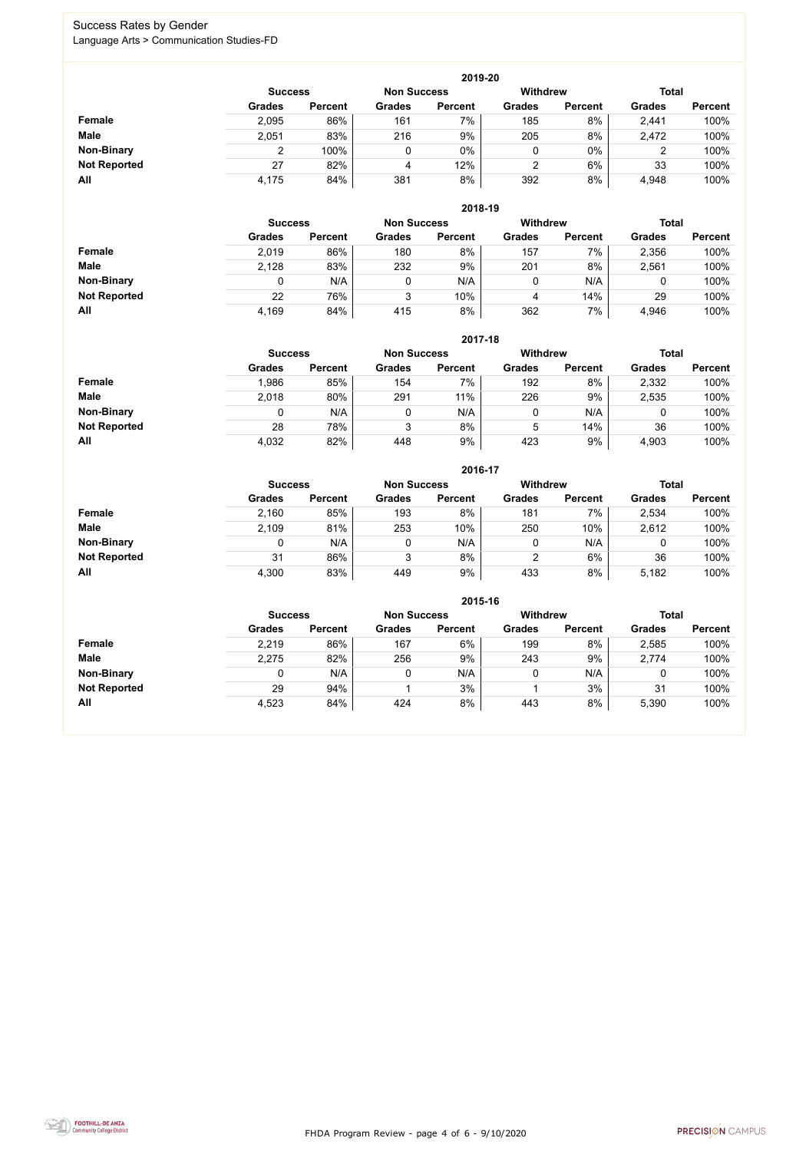FHDA Program Review - page 4 of 6 - 9/10/2020



### Success Rates by Gender Language Arts > Communication Studies-FD

|                     | 2019-20        |                |                    |                |                 |                |               |                |  |  |  |  |  |
|---------------------|----------------|----------------|--------------------|----------------|-----------------|----------------|---------------|----------------|--|--|--|--|--|
|                     | <b>Success</b> |                | <b>Non Success</b> |                | <b>Withdrew</b> |                | <b>Total</b>  |                |  |  |  |  |  |
|                     | <b>Grades</b>  | <b>Percent</b> | <b>Grades</b>      | <b>Percent</b> | <b>Grades</b>   | <b>Percent</b> | <b>Grades</b> | <b>Percent</b> |  |  |  |  |  |
| Female              | 2,095          | 86%            | 161                | 7%             | 185             | 8%             | 2,441         | 100%           |  |  |  |  |  |
| <b>Male</b>         | 2,051          | 83%            | 216                | 9%             | 205             | 8%             | 2,472         | 100%           |  |  |  |  |  |
| <b>Non-Binary</b>   |                | 100%           |                    | 0%             | 0               | 0%             | 2             | 100%           |  |  |  |  |  |
| <b>Not Reported</b> | 27             | 82%            | 4                  | 12%            | っ               | 6%             | 33            | 100%           |  |  |  |  |  |
| All                 | 4,175          | 84%            | 381                | 8%             | 392             | 8%             | 4,948         | 100%           |  |  |  |  |  |

|                     | 2018-19       |                                      |               |                |               |                |               |                |  |  |  |  |
|---------------------|---------------|--------------------------------------|---------------|----------------|---------------|----------------|---------------|----------------|--|--|--|--|
|                     |               | <b>Non Success</b><br><b>Success</b> |               |                |               |                | <b>Total</b>  |                |  |  |  |  |
|                     | <b>Grades</b> | <b>Percent</b>                       | <b>Grades</b> | <b>Percent</b> | <b>Grades</b> | <b>Percent</b> | <b>Grades</b> | <b>Percent</b> |  |  |  |  |
| <b>Female</b>       | 2,019         | 86%                                  | 180           | 8%             | 157           | 7%             | 2,356         | 100%           |  |  |  |  |
| <b>Male</b>         | 2,128         | 83%                                  | 232           | 9%             | 201           | 8%             | 2,561         | 100%           |  |  |  |  |
| <b>Non-Binary</b>   | 0             | N/A                                  |               | N/A            | υ             | N/A            | υ             | 100%           |  |  |  |  |
| <b>Not Reported</b> | 22            | 76%                                  | 3             | 10%            | 4             | 14%            | 29            | 100%           |  |  |  |  |
| All                 | 4,169         | 84%                                  | 415           | 8%             | 362           | 7%             | 4,946         | 100%           |  |  |  |  |

|                     |               | 2017-18                                                                 |               |                |               |                |               |                |  |  |  |  |  |  |
|---------------------|---------------|-------------------------------------------------------------------------|---------------|----------------|---------------|----------------|---------------|----------------|--|--|--|--|--|--|
|                     |               | <b>Withdrew</b><br><b>Total</b><br><b>Non Success</b><br><b>Success</b> |               |                |               |                |               |                |  |  |  |  |  |  |
|                     | <b>Grades</b> | <b>Percent</b>                                                          | <b>Grades</b> | <b>Percent</b> | <b>Grades</b> | <b>Percent</b> | <b>Grades</b> | <b>Percent</b> |  |  |  |  |  |  |
| Female              | .986          | 85%                                                                     | 154           | 7%             | 192           | 8%             | 2,332         | 100%           |  |  |  |  |  |  |
| <b>Male</b>         | 2,018         | 80%                                                                     | 291           | 11%            | 226           | 9%             | 2,535         | 100%           |  |  |  |  |  |  |
| <b>Non-Binary</b>   | 0             | N/A                                                                     |               | N/A            | 0             | N/A            | 0             | 100%           |  |  |  |  |  |  |
| <b>Not Reported</b> | 28            | 78%                                                                     | 3             | 8%             | 5             | 14%            | 36            | 100%           |  |  |  |  |  |  |
| All                 | 4,032         | 82%                                                                     | 448           | 9%             | 423           | 9%             | 4,903         | 100%           |  |  |  |  |  |  |

|                     |               | 2016-17        |               |                |                 |                |               |                |  |  |  |
|---------------------|---------------|----------------|---------------|----------------|-----------------|----------------|---------------|----------------|--|--|--|
|                     |               | <b>Success</b> |               |                | <b>Withdrew</b> |                | <b>Total</b>  |                |  |  |  |
|                     | <b>Grades</b> | <b>Percent</b> | <b>Grades</b> | <b>Percent</b> | <b>Grades</b>   | <b>Percent</b> | <b>Grades</b> | <b>Percent</b> |  |  |  |
| <b>Female</b>       | 2,160         | 85%            | 193           | 8%             | 181             | 7%             | 2,534         | 100%           |  |  |  |
| <b>Male</b>         | 2,109         | 81%            | 253           | 10%            | 250             | 10%            | 2,612         | 100%           |  |  |  |
| <b>Non-Binary</b>   | 0             | N/A            |               | N/A            | 0               | N/A            | 0             | 100%           |  |  |  |
| <b>Not Reported</b> | 31            | 86%            | 3             | 8%             | 2               | 6%             | 36            | 100%           |  |  |  |
| All                 | 4,300         | 83%            | 449           | 9%             | 433             | 8%             | 5,182         | 100%           |  |  |  |

|                     |               | 2015-16                              |               |                |                 |                |               |                |  |  |  |
|---------------------|---------------|--------------------------------------|---------------|----------------|-----------------|----------------|---------------|----------------|--|--|--|
|                     |               | <b>Non Success</b><br><b>Success</b> |               |                | <b>Withdrew</b> |                | <b>Total</b>  |                |  |  |  |
|                     | <b>Grades</b> | <b>Percent</b>                       | <b>Grades</b> | <b>Percent</b> | <b>Grades</b>   | <b>Percent</b> | <b>Grades</b> | <b>Percent</b> |  |  |  |
| <b>Female</b>       | 2,219         | 86%                                  | 167           | 6%             | 199             | 8%             | 2,585         | 100%           |  |  |  |
| <b>Male</b>         | 2,275         | 82%                                  | 256           | 9%             | 243             | 9%             | 2,774         | 100%           |  |  |  |
| <b>Non-Binary</b>   |               | N/A                                  | 0             | N/A            |                 | N/A            |               | 100%           |  |  |  |
| <b>Not Reported</b> | 29            | 94%                                  |               | 3%             |                 | 3%             | 31            | 100%           |  |  |  |
| All                 | 4,523         | 84%                                  | 424           | 8%             | 443             | 8%             | 5,390         | 100%           |  |  |  |

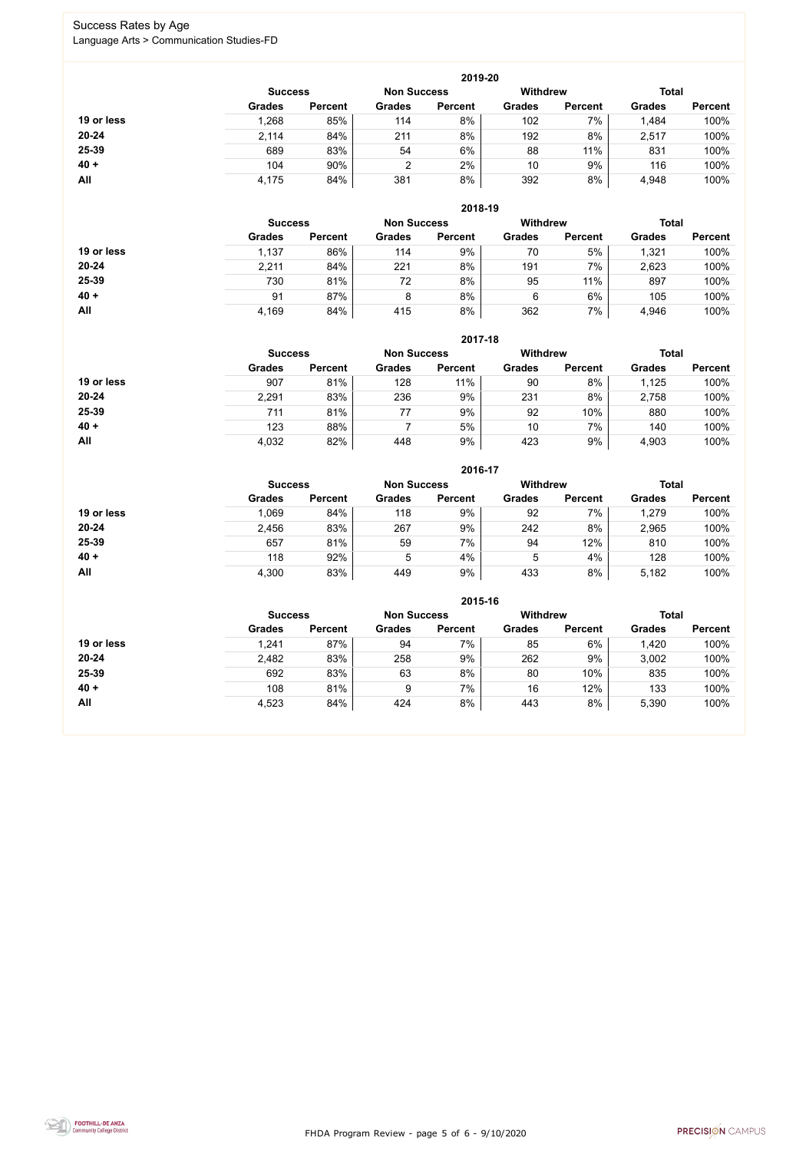FHDA Program Review - page 5 of 6 - 9/10/2020



### Success Rates by Age Language Arts > Communication Studies-FD

|            | 2019-20        |                    |               |                 |               |                |               |                |  |  |
|------------|----------------|--------------------|---------------|-----------------|---------------|----------------|---------------|----------------|--|--|
|            | <b>Success</b> | <b>Non Success</b> |               | <b>Withdrew</b> |               | <b>Total</b>   |               |                |  |  |
|            | <b>Grades</b>  | <b>Percent</b>     | <b>Grades</b> | <b>Percent</b>  | <b>Grades</b> | <b>Percent</b> | <b>Grades</b> | <b>Percent</b> |  |  |
| 19 or less | ,268           | 85%                | 114           | 8%              | 102           | 7%             | 1,484         | 100%           |  |  |
| $20 - 24$  | 2,114          | 84%                | 211           | 8%              | 192           | 8%             | 2,517         | 100%           |  |  |
| 25-39      | 689            | 83%                | 54            | 6%              | 88            | 11%            | 831           | 100%           |  |  |
| $40 +$     | 104            | 90%                | າ             | 2%              | 10            | 9%             | 116           | 100%           |  |  |
| All        | 4,175          | 84%                | 381           | 8%              | 392           | 8%             | 4,948         | 100%           |  |  |

|            |                |                    |               | 2018-19         |               |                |               |                |
|------------|----------------|--------------------|---------------|-----------------|---------------|----------------|---------------|----------------|
|            | <b>Success</b> | <b>Non Success</b> |               | <b>Withdrew</b> |               | <b>Total</b>   |               |                |
|            | <b>Grades</b>  | <b>Percent</b>     | <b>Grades</b> | <b>Percent</b>  | <b>Grades</b> | <b>Percent</b> | <b>Grades</b> | <b>Percent</b> |
| 19 or less | 1,137          | 86%                | 114           | 9%              | 70            | 5%             | 1,321         | 100%           |
| $20 - 24$  | 2,211          | 84%                | 221           | 8%              | 191           | 7%             | 2,623         | 100%           |
| 25-39      | 730            | 81%                | 72            | 8%              | 95            | 11%            | 897           | 100%           |
| $40 +$     | 91             | 87%                | 8             | 8%              | 6             | 6%             | 105           | 100%           |
| All        | 4,169          | 84%                | 415           | 8%              | 362           | 7%             | 4,946         | 100%           |

|            | 2017-18        |                |               |                    |                 |                |               |                |  |  |
|------------|----------------|----------------|---------------|--------------------|-----------------|----------------|---------------|----------------|--|--|
|            | <b>Success</b> |                |               | <b>Non Success</b> | <b>Withdrew</b> |                | <b>Total</b>  |                |  |  |
|            | <b>Grades</b>  | <b>Percent</b> | <b>Grades</b> | <b>Percent</b>     | <b>Grades</b>   | <b>Percent</b> | <b>Grades</b> | <b>Percent</b> |  |  |
| 19 or less | 907            | 81%            | 128           | 11%                | 90              | 8%             | 1,125         | 100%           |  |  |
| $20 - 24$  | 2,291          | 83%            | 236           | 9%                 | 231             | 8%             | 2,758         | 100%           |  |  |
| $25 - 39$  | 711            | 81%            | 77            | 9%                 | 92              | 10%            | 880           | 100%           |  |  |
| $40 +$     | 123            | 88%            |               | 5%                 | 10              | 7%             | 140           | 100%           |  |  |
| All        | 4,032          | 82%            | 448           | 9%                 | 423             | 9%             | 4,903         | 100%           |  |  |

|            |                |                    |               | 2016-17         |               |                |               |                |
|------------|----------------|--------------------|---------------|-----------------|---------------|----------------|---------------|----------------|
|            | <b>Success</b> | <b>Non Success</b> |               | <b>Withdrew</b> |               | <b>Total</b>   |               |                |
|            | <b>Grades</b>  | <b>Percent</b>     | <b>Grades</b> | <b>Percent</b>  | <b>Grades</b> | <b>Percent</b> | <b>Grades</b> | <b>Percent</b> |
| 19 or less | 1,069          | 84%                | 118           | 9%              | 92            | 7%             | 1,279         | 100%           |
| $20 - 24$  | 2,456          | 83%                | 267           | 9%              | 242           | 8%             | 2,965         | 100%           |
| 25-39      | 657            | 81%                | 59            | 7%              | 94            | 12%            | 810           | 100%           |
| $40 +$     | 118            | 92%                | 5             | 4%              | 5             | 4%             | 128           | 100%           |
| All        | 4,300          | 83%                | 449           | 9%              | 433           | 8%             | 5,182         | 100%           |

|            | 2015-16        |                    |               |                 |               |                |               |                |  |  |  |
|------------|----------------|--------------------|---------------|-----------------|---------------|----------------|---------------|----------------|--|--|--|
|            | <b>Success</b> | <b>Non Success</b> |               | <b>Withdrew</b> |               | <b>Total</b>   |               |                |  |  |  |
|            | <b>Grades</b>  | <b>Percent</b>     | <b>Grades</b> | <b>Percent</b>  | <b>Grades</b> | <b>Percent</b> | <b>Grades</b> | <b>Percent</b> |  |  |  |
| 19 or less | 1,241          | 87%                | 94            | 7%              | 85            | 6%             | 1,420         | 100%           |  |  |  |
| $20 - 24$  | 2,482          | 83%                | 258           | 9%              | 262           | 9%             | 3,002         | 100%           |  |  |  |
| 25-39      | 692            | 83%                | 63            | 8%              | 80            | 10%            | 835           | 100%           |  |  |  |
| $40 +$     | 108            | 81%                | 9             | 7%              | 16            | 12%            | 133           | 100%           |  |  |  |
| All        | 4,523          | 84%                | 424           | 8%              | 443           | 8%             | 5,390         | 100%           |  |  |  |